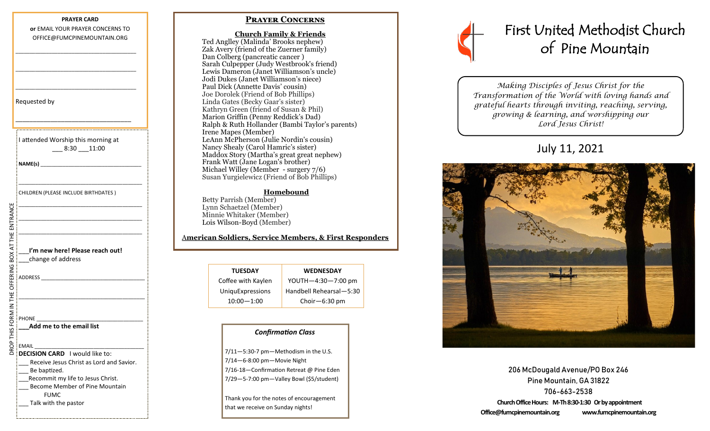# **PRAYER CARD or** EMAIL YOUR PRAYER CONCERNS TO OFFICE@FUMCPINEMOUNTAIN.ORG \_\_\_\_\_\_\_\_\_\_\_\_\_\_\_\_\_\_\_\_\_\_\_\_\_\_\_\_\_\_\_\_\_\_\_\_\_\_\_\_\_\_\_ \_\_\_\_\_\_\_\_\_\_\_\_\_\_\_\_\_\_\_\_\_\_\_\_\_\_\_\_\_\_\_\_\_\_\_\_\_\_\_\_\_\_\_ \_\_\_\_\_\_\_\_\_\_\_\_\_\_\_\_\_\_\_\_\_\_\_\_\_\_\_\_\_\_\_\_\_\_\_\_\_\_\_\_\_\_\_ Requested by \_\_\_\_\_\_\_\_\_\_\_\_\_\_\_\_\_\_\_\_\_\_\_\_\_\_\_\_\_\_\_\_\_ I attended Worship this morning at \_\_\_ 8:30 \_\_\_11:00 **NAME(s)** \_\_\_\_\_\_\_\_\_\_\_\_\_\_\_\_\_\_\_\_\_\_\_\_\_\_\_\_\_\_\_\_\_\_\_\_ \_\_\_\_\_\_\_\_\_\_\_\_\_\_\_\_\_\_\_\_\_\_\_\_\_\_\_\_\_\_\_\_\_\_\_\_\_\_\_\_\_\_\_\_ CHILDREN (PLEASE INCLUDE BIRTHDATES ) \_\_\_\_\_\_\_\_\_\_\_\_\_\_\_\_\_\_\_\_\_\_\_\_\_\_\_\_\_\_\_\_\_\_\_\_\_\_\_\_\_\_\_\_ AT THE ENTRANCE DROP THIS FORM IN THE OFFERING BOX AT THE ENTRANCE\_\_\_\_\_\_\_\_\_\_\_\_\_\_\_\_\_\_\_\_\_\_\_\_\_\_\_\_\_\_\_\_\_\_\_\_\_\_\_\_\_\_\_\_ \_\_\_\_\_\_\_\_\_\_\_\_\_\_\_\_\_\_\_\_\_\_\_\_\_\_\_\_\_\_\_\_\_\_\_\_\_\_\_\_\_\_\_\_ \_\_\_**I'm new here! Please reach out!** DROP THIS FORM IN THE OFFERING BOX \_\_\_change of address ADDRESS \_\_\_\_\_\_\_\_\_\_\_\_\_\_\_\_\_\_\_\_\_\_\_\_\_\_\_\_\_\_\_\_\_\_\_\_\_ \_\_\_\_\_\_\_\_\_\_\_\_\_\_\_\_\_\_\_\_\_\_\_\_\_\_\_\_\_\_\_\_\_\_\_\_\_\_\_\_\_\_\_\_\_ PHONE **\_\_\_Add me to the email list**  EMAIL \_\_\_\_\_\_\_\_\_\_\_\_\_\_\_\_\_\_\_\_\_\_\_\_\_\_\_\_\_\_\_\_\_\_\_\_\_\_\_ **DECISION CARD** I would like to: Receive Jesus Christ as Lord and Savior. \_\_\_ Be baptized. Recommit my life to Jesus Christ. Become Member of Pine Mountain FUMC Talk with the pastor

# **Prayer Concerns**

 **Church Family & Friends** Ted Anglley (Malinda' Brooks nephew) Zak Avery (friend of the Zuerner family) Dan Colberg (pancreatic cancer ) Sarah Culpepper (Judy Westbrook's friend) Lewis Dameron (Janet Williamson's uncle) Jodi Dukes (Janet Williamson's niece) Paul Dick (Annette Davis' cousin) Joe Dorolek (Friend of Bob Phillips) Linda Gates (Becky Gaar's sister) Kathryn Green (friend of Susan & Phil) Marion Griffin (Penny Reddick's Dad) Ralph & Ruth Hollander (Bambi Taylor's parents) Irene Mapes (Member) LeAnn McPherson (Julie Nordin's cousin) Nancy Shealy (Carol Hamric's sister) Maddox Story (Martha's great great nephew) Frank Watt (Jane Logan's brother) Michael Willey (Member - surgery 7/6) Susan Yurgielewicz (Friend of Bob Phillips)

#### **Homebound**

Betty Parrish (Member) Lynn Schaetzel (Member) Minnie Whitaker (Member) Lois Wilson-Boyd (Member)

### A**merican Soldiers, Service Members, & First Responders**

| <b>TUESDAY</b>     | <b>WEDNESDAY</b>        |
|--------------------|-------------------------|
| Coffee with Kaylen | YOUTH-4:30-7:00 pm      |
| UniquExpressions   | Handbell Rehearsal-5:30 |
| $10:00 - 1:00$     | Choir $-6:30$ pm        |

#### *Confirmation Class*

7/11—5:30-7 pm—Methodism in the U.S. 7/14—6-8:00 pm—Movie Night 7/16-18—Confirmation Retreat @ Pine Eden 7/29—5-7:00 pm—Valley Bowl (\$5/student)

Thank you for the notes of encouragement that we receive on Sunday nights!



*Making Disciples of Jesus Christ for the Transformation of the World with loving hands and grateful hearts through inviting, reaching, serving, growing & learning, and worshipping our Lord Jesus Christ!* 

# July 11, 2021



206 McDougald Avenue/PO Box 246 Pine Mountain, GA 31822 706-663-2538 **Church Office Hours: M-Th 8:30-1:30 Or by appointment Office@fumcpinemountain.org www.fumcpinemountain.org**